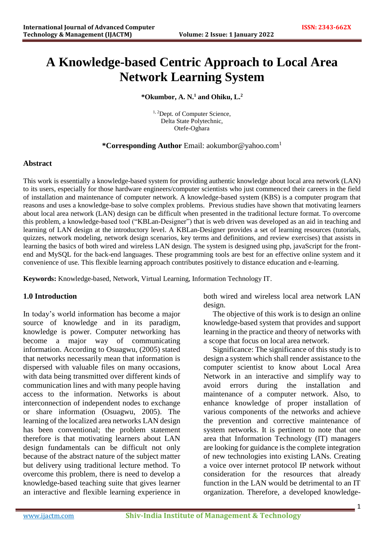# **A Knowledge-based Centric Approach to Local Area Network Learning System**

## **\*Okumbor, A. N. <sup>1</sup> and Ohiku, L. 2**

<sup>1, 2</sup>Dept. of Computer Science, Delta State Polytechnic, Otefe-Oghara

## **\*Corresponding Author** Email: aokumbor@yahoo.com<sup>1</sup>

## **Abstract**

This work is essentially a knowledge-based system for providing authentic knowledge about local area network (LAN) to its users, especially for those hardware engineers/computer scientists who just commenced their careers in the field of installation and maintenance of computer network. A knowledge-based system (KBS) is a computer program that reasons and uses a knowledge-base to solve complex problems. Previous studies have shown that motivating learners about local area network (LAN) design can be difficult when presented in the traditional lecture format. To overcome this problem, a knowledge-based tool ("KBLan-Designer") that is web driven was developed as an aid in teaching and learning of LAN design at the introductory level. A KBLan-Designer provides a set of learning resources (tutorials, quizzes, network modeling, network design scenarios, key terms and definitions, and review exercises) that assists in learning the basics of both wired and wireless LAN design. The system is designed using php, javaScript for the frontend and MySQL for the back-end languages. These programming tools are best for an effective online system and it convenience of use. This flexible learning approach contributes positively to distance education and e-learning.

**Keywords:** Knowledge-based, Network, Virtual Learning, Information Technology IT.

## **1.0 Introduction**

In today's world information has become a major source of knowledge and in its paradigm, knowledge is power. Computer networking has become a major way of communicating information. According to Osuagwu, (2005) stated that networks necessarily mean that information is dispersed with valuable files on many occasions, with data being transmitted over different kinds of communication lines and with many people having access to the information. Networks is about interconnection of independent nodes to exchange or share information (Osuagwu, 2005). The learning of the localized area networks LAN design has been conventional; the problem statement therefore is that motivating learners about LAN design fundamentals can be difficult not only because of the abstract nature of the subject matter but delivery using traditional lecture method. To overcome this problem, there is need to develop a knowledge-based teaching suite that gives learner an interactive and flexible learning experience in

both wired and wireless local area network LAN design.

The objective of this work is to design an online knowledge-based system that provides and support learning in the practice and theory of networks with a scope that focus on local area network.

Significance: The significance of this study is to design a system which shall render assistance to the computer scientist to know about Local Area Network in an interactive and simplify way to avoid errors during the installation and maintenance of a computer network. Also, to enhance knowledge of proper installation of various components of the networks and achieve the prevention and corrective maintenance of system networks. It is pertinent to note that one area that Information Technology (IT) managers are looking for guidance is the complete integration of new technologies into existing LANs. Creating a voice over internet protocol IP network without consideration for the resources that already function in the LAN would be detrimental to an IT organization. Therefore, a developed knowledge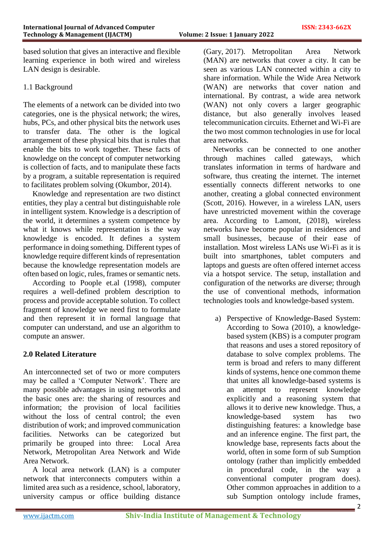based solution that gives an interactive and flexible learning experience in both wired and wireless LAN design is desirable.

## 1.1 Background

The elements of a network can be divided into two categories, one is the physical network; the wires, hubs, PCs, and other physical bits the network uses to transfer data. The other is the logical arrangement of these physical bits that is rules that enable the bits to work together. These facts of knowledge on the concept of computer networking is collection of facts, and to manipulate these facts by a program, a suitable representation is required to facilitates problem solving (Okumbor, 2014).

Knowledge and representation are two distinct entities, they play a central but distinguishable role in intelligent system. Knowledge is a description of the world, it determines a system competence by what it knows while representation is the way knowledge is encoded. It defines a system performance in doing something. Different types of knowledge require different kinds of representation because the knowledge representation models are often based on logic, rules, frames or semantic nets.

According to Poople et.al (1998), computer requires a well-defined problem description to process and provide acceptable solution. To collect fragment of knowledge we need first to formulate and then represent it in formal language that computer can understand, and use an algorithm to compute an answer.

# **2.0 Related Literature**

An interconnected set of two or more computers may be called a 'Computer Network'. There are many possible advantages in using networks and the basic ones are: the sharing of resources and information; the provision of local facilities without the loss of central control; the even distribution of work; and improved communication facilities. Networks can be categorized but primarily be grouped into three: Local Area Network, Metropolitan Area Network and Wide Area Network.

A local area network (LAN) is a computer network that interconnects computers within a limited area such as a residence, school, laboratory, university campus or office building distance

(Gary, 2017). Metropolitan Area Network (MAN) are networks that cover a city. It can be seen as various LAN connected within a city to share information. While the Wide Area Network (WAN) are networks that cover nation and international. By contrast, a wide area network (WAN) not only covers a larger geographic distance, but also generally involves leased telecommunication circuits. Ethernet and Wi-Fi are the two most common technologies in use for local area networks.

Networks can be connected to one another through machines called gateways, which translates information in terms of hardware and software, thus creating the internet. The internet essentially connects different networks to one another, creating a global connected environment (Scott, 2016). However, in a wireless LAN, users have unrestricted movement within the coverage area. According to Lamont, (2018), wireless networks have become popular in residences and small businesses, because of their ease of installation. Most wireless LANs use Wi-Fi as it is built into smartphones, tablet computers and laptops and guests are often offered internet access via a hotspot service. The setup, installation and configuration of the networks are diverse; through the use of conventional methods, information technologies tools and knowledge-based system.

a) Perspective of Knowledge-Based System: According to Sowa (2010), a knowledgebased system (KBS) is a computer program that reasons and uses a stored repository of database to solve complex problems. The term is broad and refers to many different kinds of systems, hence one common theme that unites all knowledge-based systems is an attempt to represent knowledge explicitly and a reasoning system that allows it to derive new knowledge. Thus, a knowledge-based system has two distinguishing features: a knowledge base and an inference engine. The first part, the knowledge base, represents facts about the world, often in some form of sub Sumption ontology (rather than implicitly embedded in procedural code, in the way a conventional computer program does). Other common approaches in addition to a sub Sumption ontology include frames,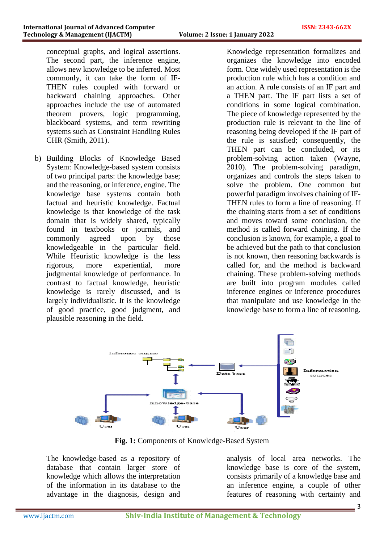conceptual graphs, and logical assertions. The second part, the inference engine, allows new knowledge to be inferred. Most commonly, it can take the form of IF-THEN rules coupled with forward or backward chaining approaches. Other approaches include the use of automated theorem provers, logic programming, blackboard systems, and term rewriting systems such as Constraint Handling Rules CHR (Smith, 2011).

b) Building Blocks of Knowledge Based System: Knowledge-based system consists of two principal parts: the knowledge base; and the reasoning, or inference, engine. The knowledge base systems contain both factual and heuristic knowledge. Factual knowledge is that knowledge of the task domain that is widely shared, typically found in textbooks or journals, and commonly agreed upon by those knowledgeable in the particular field. While Heuristic knowledge is the less rigorous, more experiential, more judgmental knowledge of performance. In contrast to factual knowledge, heuristic knowledge is rarely discussed, and is largely individualistic. It is the knowledge of good practice, good judgment, and plausible reasoning in the field.

Knowledge representation formalizes and organizes the knowledge into encoded form. One widely used representation is the production rule which has a condition and an action. A rule consists of an IF part and a THEN part. The IF part lists a set of conditions in some logical combination. The piece of knowledge represented by the production rule is relevant to the line of reasoning being developed if the IF part of the rule is satisfied; consequently, the THEN part can be concluded, or its problem-solving action taken (Wayne, 2010). The problem-solving paradigm, organizes and controls the steps taken to solve the problem. One common but powerful paradigm involves chaining of IF-THEN rules to form a line of reasoning. If the chaining starts from a set of conditions and moves toward some conclusion, the method is called forward chaining. If the conclusion is known, for example, a goal to be achieved but the path to that conclusion is not known, then reasoning backwards is called for, and the method is backward chaining. These problem-solving methods are built into program modules called inference engines or inference procedures that manipulate and use knowledge in the knowledge base to form a line of reasoning.



**Fig. 1:** Components of Knowledge-Based System

The knowledge-based as a repository of database that contain larger store of knowledge which allows the interpretation of the information in its database to the advantage in the diagnosis, design and analysis of local area networks. The knowledge base is core of the system, consists primarily of a knowledge base and an inference engine, a couple of other features of reasoning with certainty and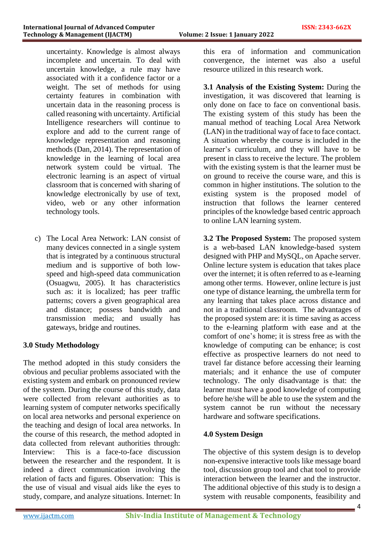uncertainty. Knowledge is almost always incomplete and uncertain. To deal with uncertain knowledge, a rule may have associated with it a confidence factor or a weight. The set of methods for using certainty features in combination with uncertain data in the reasoning process is called reasoning with uncertainty. Artificial Intelligence researchers will continue to explore and add to the current range of knowledge representation and reasoning methods (Dan, 2014). The representation of knowledge in the learning of local area network system could be virtual. The electronic learning is an aspect of virtual classroom that is concerned with sharing of knowledge electronically by use of text, video, web or any other information technology tools.

c) The Local Area Network: LAN consist of many devices connected in a single system that is integrated by a continuous structural medium and is supportive of both lowspeed and high-speed data communication (Osuagwu, 2005). It has characteristics such as: it is localized; has peer traffic patterns; covers a given geographical area and distance; possess bandwidth and transmission media; and usually has gateways, bridge and routines.

# **3.0 Study Methodology**

The method adopted in this study considers the obvious and peculiar problems associated with the existing system and embark on pronounced review of the system. During the course of this study, data were collected from relevant authorities as to learning system of computer networks specifically on local area networks and personal experience on the teaching and design of local area networks. In the course of this research, the method adopted in data collected from relevant authorities through: Interview: This is a face-to-face discussion between the researcher and the respondent. It is indeed a direct communication involving the relation of facts and figures. Observation: This is the use of visual and visual aids like the eyes to study, compare, and analyze situations. Internet: In this era of information and communication convergence, the internet was also a useful resource utilized in this research work.

**3.1 Analysis of the Existing System:** During the investigation, it was discovered that learning is only done on face to face on conventional basis. The existing system of this study has been the manual method of teaching Local Area Network (LAN) in the traditional way of face to face contact. A situation whereby the course is included in the learner's curriculum, and they will have to be present in class to receive the lecture. The problem with the existing system is that the learner must be on ground to receive the course ware, and this is common in higher institutions. The solution to the existing system is the proposed model of instruction that follows the learner centered principles of the knowledge based centric approach to online LAN learning system.

**3.2 The Proposed System:** The proposed system is a web-based LAN knowledge-based system designed with PHP and MySQL, on Apache server. Online lecture system is education that takes place over the internet; it is often referred to as e-learning among other terms. However, online lecture is just one type of distance learning, the umbrella term for any learning that takes place across distance and not in a traditional classroom. The advantages of the proposed system are: it is time saving as access to the e-learning platform with ease and at the comfort of one's home; it is stress free as with the knowledge of computing can be enhance; is cost effective as prospective learners do not need to travel far distance before accessing their learning materials; and it enhance the use of computer technology. The only disadvantage is that: the learner must have a good knowledge of computing before he/she will be able to use the system and the system cannot be run without the necessary hardware and software specifications.

## **4.0 System Design**

The objective of this system design is to develop non-expensive interactive tools like message board tool, discussion group tool and chat tool to provide interaction between the learner and the instructor. The additional objective of this study is to design a system with reusable components, feasibility and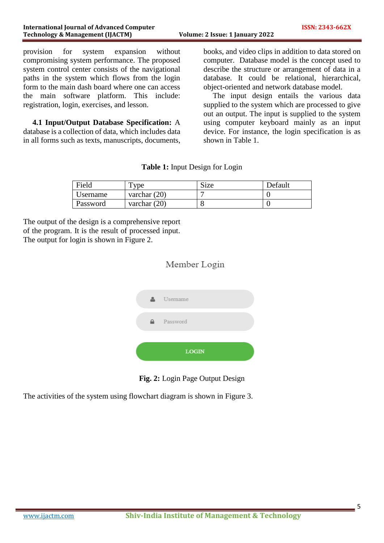provision for system expansion without compromising system performance. The proposed system control center consists of the navigational paths in the system which flows from the login form to the main dash board where one can access the main software platform. This include: registration, login, exercises, and lesson.

**4.1 Input/Output Database Specification:** A database is a collection of data, which includes data in all forms such as texts, manuscripts, documents, books, and video clips in addition to data stored on computer. Database model is the concept used to describe the structure or arrangement of data in a database. It could be relational, hierarchical, object-oriented and network database model.

The input design entails the various data supplied to the system which are processed to give out an output. The input is supplied to the system using computer keyboard mainly as an input device. For instance, the login specification is as shown in Table 1.

| Table 1: Input Design for Login |  |  |  |  |
|---------------------------------|--|--|--|--|
|---------------------------------|--|--|--|--|

| Field    | vpe            | Size | Default |
|----------|----------------|------|---------|
| Username | varchar $(20)$ |      |         |
| Password | varchar $(20)$ |      |         |

The output of the design is a comprehensive report of the program. It is the result of processed input. The output for login is shown in Figure 2.

# Member Login





The activities of the system using flowchart diagram is shown in Figure 3.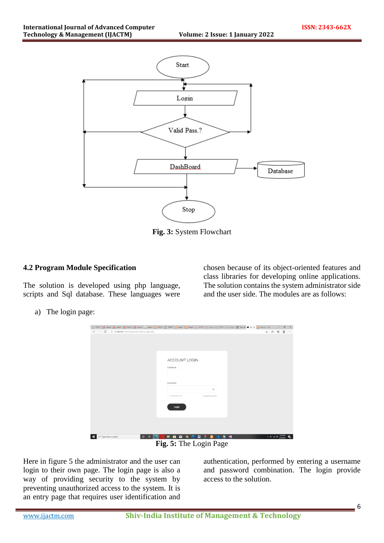

**Fig. 3:** System Flowchart

## **4.2 Program Module Specification**

The solution is developed using php language, scripts and Sql database. These languages were chosen because of its object-oriented features and class libraries for developing online applications. The solution contains the system administrator side and the user side. The modules are as follows:

a) The login page:

| $\leftarrow$ $\rightarrow$ $\mathbb{C}$ $\circ$ localhost/e-learningsystem/admin/login.php | B PRAYER   B Operati   B perform   B The Cox   B journall   & locathox   EI Delo Ci   B Delo Ci   EI Despo ( EI Propert   B 52305)   B Analysi   B DESIDK   B Design.   B New tab ● Loy * B view so   十 | ☆☆ ● ● …                                                  | $\sigma$ |  |
|--------------------------------------------------------------------------------------------|---------------------------------------------------------------------------------------------------------------------------------------------------------------------------------------------------------|-----------------------------------------------------------|----------|--|
|                                                                                            |                                                                                                                                                                                                         |                                                           |          |  |
|                                                                                            |                                                                                                                                                                                                         |                                                           |          |  |
|                                                                                            |                                                                                                                                                                                                         |                                                           |          |  |
|                                                                                            |                                                                                                                                                                                                         |                                                           |          |  |
|                                                                                            |                                                                                                                                                                                                         |                                                           |          |  |
|                                                                                            | <b>ACCOUNT LOGIN</b>                                                                                                                                                                                    |                                                           |          |  |
|                                                                                            |                                                                                                                                                                                                         |                                                           |          |  |
|                                                                                            | <b>USERNAME</b>                                                                                                                                                                                         |                                                           |          |  |
|                                                                                            |                                                                                                                                                                                                         |                                                           |          |  |
|                                                                                            |                                                                                                                                                                                                         |                                                           |          |  |
|                                                                                            | PASSWORD                                                                                                                                                                                                |                                                           |          |  |
|                                                                                            | $^{\circ}$                                                                                                                                                                                              |                                                           |          |  |
|                                                                                            | Remember me<br>Forgot Password?                                                                                                                                                                         |                                                           |          |  |
|                                                                                            |                                                                                                                                                                                                         |                                                           |          |  |
|                                                                                            | Login                                                                                                                                                                                                   |                                                           |          |  |
|                                                                                            |                                                                                                                                                                                                         |                                                           |          |  |
|                                                                                            |                                                                                                                                                                                                         |                                                           |          |  |
|                                                                                            |                                                                                                                                                                                                         |                                                           |          |  |
|                                                                                            |                                                                                                                                                                                                         |                                                           |          |  |
|                                                                                            |                                                                                                                                                                                                         |                                                           |          |  |
| $\circ$<br>甲<br>$\rho$ Type here to search<br>н                                            | 直<br>м<br>ø.<br>E<br>٠<br>$\blacksquare$<br>臦<br>-x1<br><b>B3</b><br>۰<br><b>PS</b>                                                                                                                     | $\sim$ 10 $\approx$ 40 $\frac{230 \text{ PM}}{2/26/2021}$ |          |  |
|                                                                                            | $\mathbf{F}$ ig 5. The Login Page                                                                                                                                                                       |                                                           |          |  |

**Fig. 5:** The Login Page

Here in figure 5 the administrator and the user can login to their own page. The login page is also a way of providing security to the system by preventing unauthorized access to the system. It is an entry page that requires user identification and

authentication, performed by entering a username and password combination. The login provide access to the solution.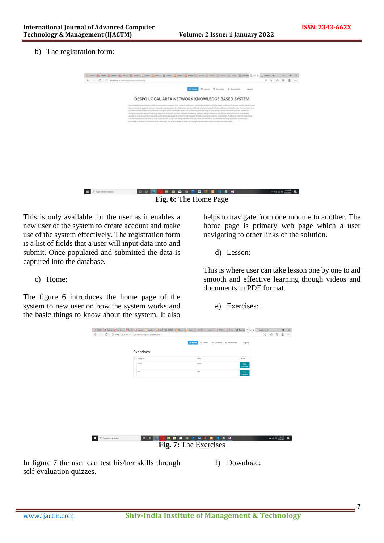#### b) The registration form:

| o | C focalhost/c-learningsystem/index.php                                                                                                                                                                                                                                                                                                                                                                                                                                                                                                                                                                                                                                                                                                                                                                                                                                                                                                                                                                                                                                       |              |                                       |        | $-2 - 6$ |  |  |
|---|------------------------------------------------------------------------------------------------------------------------------------------------------------------------------------------------------------------------------------------------------------------------------------------------------------------------------------------------------------------------------------------------------------------------------------------------------------------------------------------------------------------------------------------------------------------------------------------------------------------------------------------------------------------------------------------------------------------------------------------------------------------------------------------------------------------------------------------------------------------------------------------------------------------------------------------------------------------------------------------------------------------------------------------------------------------------------|--------------|---------------------------------------|--------|----------|--|--|
|   |                                                                                                                                                                                                                                                                                                                                                                                                                                                                                                                                                                                                                                                                                                                                                                                                                                                                                                                                                                                                                                                                              |              |                                       |        |          |  |  |
|   |                                                                                                                                                                                                                                                                                                                                                                                                                                                                                                                                                                                                                                                                                                                                                                                                                                                                                                                                                                                                                                                                              | <b>A DOM</b> | If Lesson III Exercises G. Describado | Lagaut |          |  |  |
|   | DESPO LOCAL AREA NETWORK KNOWLEDGE BASED SYSTEM                                                                                                                                                                                                                                                                                                                                                                                                                                                                                                                                                                                                                                                                                                                                                                                                                                                                                                                                                                                                                              |              |                                       |        |          |  |  |
|   | A kivowhidge-boost symm (KBS) is a computer program that reasons and uses a knowledge base to soliday problems. Previous studies have thours<br>that restructing students to learn about local area network (LAN) design can be difficult when presented in the traditional reclure format. To averrane this<br>problem, a Web-based tool ("MebLan-Designer") was structuped as art and in teaching and teaming of LAV design at the introductory level. A WebLan-<br>Designer provides a set of lagining remoster dutorials, quizzes, nation/s modeling, network design stanistics, levy terms and definitions, and review<br>questions and answers) and assists undergraduate students in learning the basics of both wined and wrenkers LNN decign. The tool is interiment and<br>can be accessed at any time so that students can study LAN design at their own pace and convenience. This flexible learning approach contributes<br>postnesy to distance education and a learning. The effectiveness of telefolion Designer is availabled byth formally and informally. |              |                                       |        |          |  |  |
|   |                                                                                                                                                                                                                                                                                                                                                                                                                                                                                                                                                                                                                                                                                                                                                                                                                                                                                                                                                                                                                                                                              |              |                                       |        |          |  |  |
|   |                                                                                                                                                                                                                                                                                                                                                                                                                                                                                                                                                                                                                                                                                                                                                                                                                                                                                                                                                                                                                                                                              |              |                                       |        |          |  |  |
|   |                                                                                                                                                                                                                                                                                                                                                                                                                                                                                                                                                                                                                                                                                                                                                                                                                                                                                                                                                                                                                                                                              |              |                                       |        |          |  |  |
|   |                                                                                                                                                                                                                                                                                                                                                                                                                                                                                                                                                                                                                                                                                                                                                                                                                                                                                                                                                                                                                                                                              |              |                                       |        |          |  |  |
|   |                                                                                                                                                                                                                                                                                                                                                                                                                                                                                                                                                                                                                                                                                                                                                                                                                                                                                                                                                                                                                                                                              |              |                                       |        |          |  |  |
|   |                                                                                                                                                                                                                                                                                                                                                                                                                                                                                                                                                                                                                                                                                                                                                                                                                                                                                                                                                                                                                                                                              |              |                                       |        |          |  |  |

**Fig. 6:** The Home Page

This is only available for the user as it enables a new user of the system to create account and make use of the system effectively. The registration form is a list of fields that a user will input data into and submit. Once populated and submitted the data is captured into the database.

#### c) Home:

The figure 6 introduces the home page of the system to new user on how the system works and the basic things to know about the system. It also

helps to navigate from one module to another. The home page is primary web page which a user navigating to other links of the solution.

d) Lesson:

This is where user can take lesson one by one to aid smooth and effective learning though videos and documents in PDF format.

e) Exercises:

|                                                            |                       | 급 PRAYER  급 Operati  급 perform  급 The Cox  급 journall   초 localPox   급 Polo Di   급 CHANC  급 Despo ( 급 Propert  급 R2305K  급 Analysk  급 DESER  급 DESER  급 New 10 Lur X  초 localPox   十 |                                        |                                 |                          | $\sigma$       | $\mathbf{x}$ |
|------------------------------------------------------------|-----------------------|--------------------------------------------------------------------------------------------------------------------------------------------------------------------------------------|----------------------------------------|---------------------------------|--------------------------|----------------|--------------|
| ← → C   © localhost/e-learningsystem/index.php?q=exercises |                       |                                                                                                                                                                                      |                                        |                                 | 宿 白 龟                    | $\circledcirc$ | $\sim$       |
|                                                            | Exercises             | # Home                                                                                                                                                                               |                                        | Logout                          |                          |                |              |
|                                                            |                       |                                                                                                                                                                                      |                                        |                                 |                          |                |              |
|                                                            | $\theta$ Chapter      |                                                                                                                                                                                      | Title                                  | Action                          |                          |                |              |
|                                                            | video                 |                                                                                                                                                                                      | video                                  | View<br><b>Exercises</b>        |                          |                |              |
|                                                            | test                  |                                                                                                                                                                                      | test                                   | <b>View</b><br><b>Exercises</b> |                          |                |              |
|                                                            |                       |                                                                                                                                                                                      |                                        |                                 |                          |                |              |
|                                                            |                       |                                                                                                                                                                                      |                                        |                                 |                          |                |              |
|                                                            |                       |                                                                                                                                                                                      |                                        |                                 |                          |                |              |
|                                                            |                       |                                                                                                                                                                                      |                                        |                                 |                          |                |              |
|                                                            |                       |                                                                                                                                                                                      |                                        |                                 |                          |                |              |
|                                                            |                       |                                                                                                                                                                                      |                                        |                                 |                          |                |              |
| P Type here to search                                      | $\circ$               | ÷.<br>R<br>ы<br>в                                                                                                                                                                    | ω<br>æ<br>$\mathbf{x}$<br>$\mathbf{a}$ | 4 5                             | $\wedge$ to at 48 332 PM |                |              |
|                                                            |                       |                                                                                                                                                                                      |                                        |                                 |                          |                |              |
|                                                            | Fig. 7: The Exercises |                                                                                                                                                                                      |                                        |                                 |                          |                |              |
| In figure 7 the user can test his/her skills through       |                       |                                                                                                                                                                                      | f)                                     | Download:                       |                          |                |              |

self-evaluation quizzes.